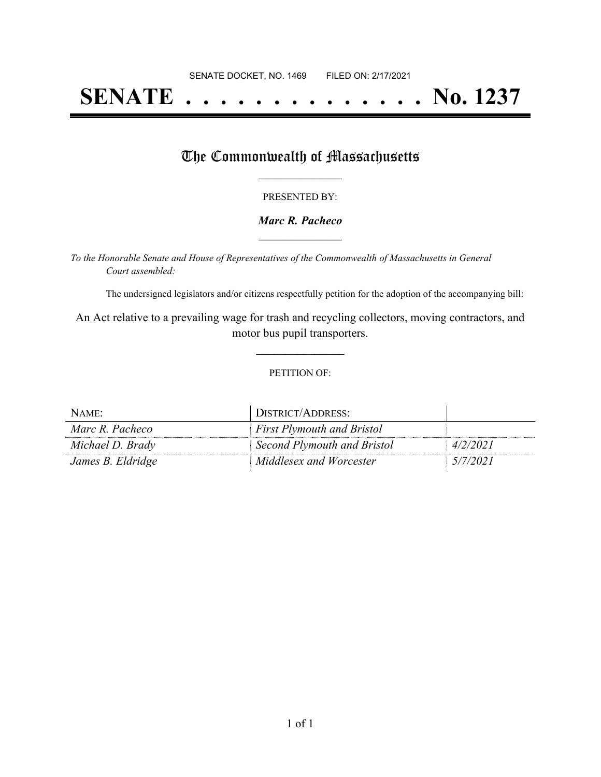# **SENATE . . . . . . . . . . . . . . No. 1237**

## The Commonwealth of Massachusetts

#### PRESENTED BY:

#### *Marc R. Pacheco* **\_\_\_\_\_\_\_\_\_\_\_\_\_\_\_\_\_**

*To the Honorable Senate and House of Representatives of the Commonwealth of Massachusetts in General Court assembled:*

The undersigned legislators and/or citizens respectfully petition for the adoption of the accompanying bill:

An Act relative to a prevailing wage for trash and recycling collectors, moving contractors, and motor bus pupil transporters.

**\_\_\_\_\_\_\_\_\_\_\_\_\_\_\_**

#### PETITION OF:

| NAME:             | DISTRICT/ADDRESS:                 |          |
|-------------------|-----------------------------------|----------|
| Marc R. Pacheco   | <b>First Plymouth and Bristol</b> |          |
| Michael D. Brady  | Second Plymouth and Bristol       | 4/2/2021 |
| James B. Eldridge | Middlesex and Worcester           | 5/7/2021 |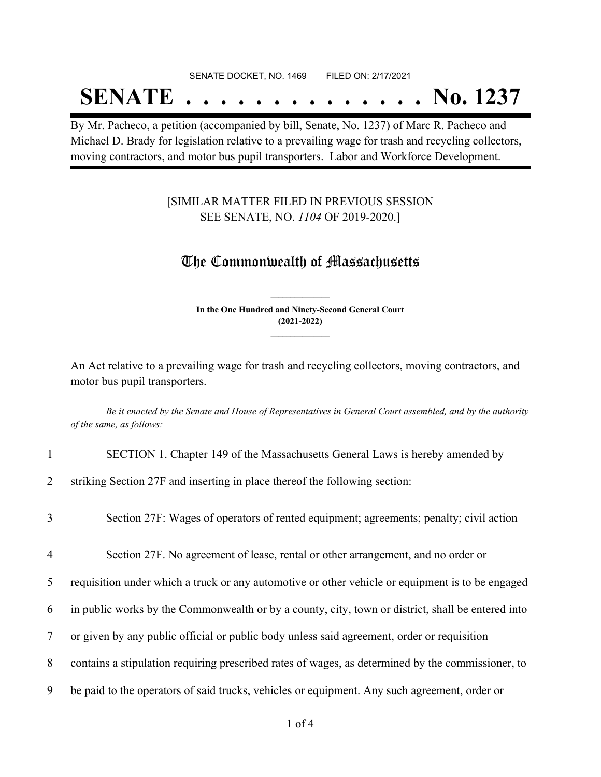#### SENATE DOCKET, NO. 1469 FILED ON: 2/17/2021

## **SENATE . . . . . . . . . . . . . . No. 1237**

By Mr. Pacheco, a petition (accompanied by bill, Senate, No. 1237) of Marc R. Pacheco and Michael D. Brady for legislation relative to a prevailing wage for trash and recycling collectors, moving contractors, and motor bus pupil transporters. Labor and Workforce Development.

### [SIMILAR MATTER FILED IN PREVIOUS SESSION SEE SENATE, NO. *1104* OF 2019-2020.]

## The Commonwealth of Massachusetts

**In the One Hundred and Ninety-Second General Court (2021-2022) \_\_\_\_\_\_\_\_\_\_\_\_\_\_\_**

**\_\_\_\_\_\_\_\_\_\_\_\_\_\_\_**

An Act relative to a prevailing wage for trash and recycling collectors, moving contractors, and motor bus pupil transporters.

Be it enacted by the Senate and House of Representatives in General Court assembled, and by the authority *of the same, as follows:*

1 SECTION 1. Chapter 149 of the Massachusetts General Laws is hereby amended by

2 striking Section 27F and inserting in place thereof the following section:

- 3 Section 27F: Wages of operators of rented equipment; agreements; penalty; civil action
- 4 Section 27F. No agreement of lease, rental or other arrangement, and no order or
- 5 requisition under which a truck or any automotive or other vehicle or equipment is to be engaged
- 6 in public works by the Commonwealth or by a county, city, town or district, shall be entered into
- 7 or given by any public official or public body unless said agreement, order or requisition
- 8 contains a stipulation requiring prescribed rates of wages, as determined by the commissioner, to
- 9 be paid to the operators of said trucks, vehicles or equipment. Any such agreement, order or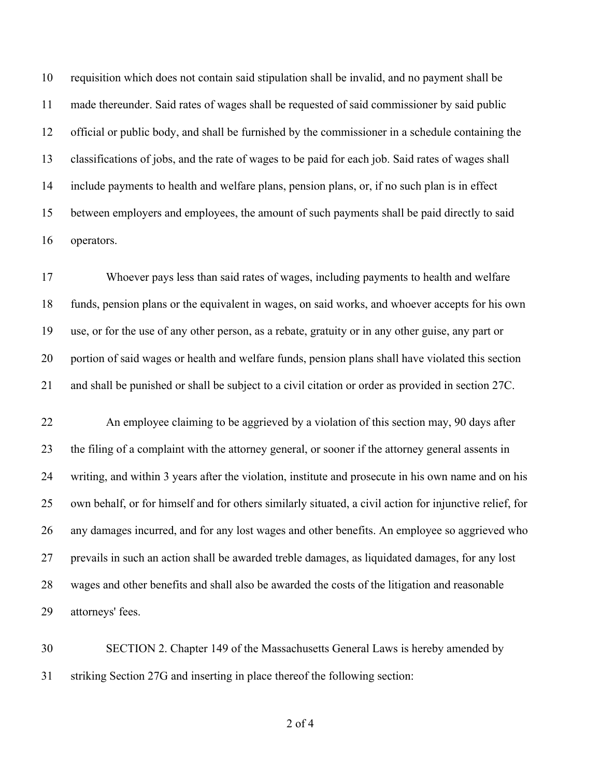requisition which does not contain said stipulation shall be invalid, and no payment shall be made thereunder. Said rates of wages shall be requested of said commissioner by said public official or public body, and shall be furnished by the commissioner in a schedule containing the classifications of jobs, and the rate of wages to be paid for each job. Said rates of wages shall include payments to health and welfare plans, pension plans, or, if no such plan is in effect between employers and employees, the amount of such payments shall be paid directly to said operators.

 Whoever pays less than said rates of wages, including payments to health and welfare funds, pension plans or the equivalent in wages, on said works, and whoever accepts for his own use, or for the use of any other person, as a rebate, gratuity or in any other guise, any part or portion of said wages or health and welfare funds, pension plans shall have violated this section and shall be punished or shall be subject to a civil citation or order as provided in section 27C.

 An employee claiming to be aggrieved by a violation of this section may, 90 days after the filing of a complaint with the attorney general, or sooner if the attorney general assents in writing, and within 3 years after the violation, institute and prosecute in his own name and on his own behalf, or for himself and for others similarly situated, a civil action for injunctive relief, for any damages incurred, and for any lost wages and other benefits. An employee so aggrieved who prevails in such an action shall be awarded treble damages, as liquidated damages, for any lost wages and other benefits and shall also be awarded the costs of the litigation and reasonable attorneys' fees.

 SECTION 2. Chapter 149 of the Massachusetts General Laws is hereby amended by striking Section 27G and inserting in place thereof the following section:

of 4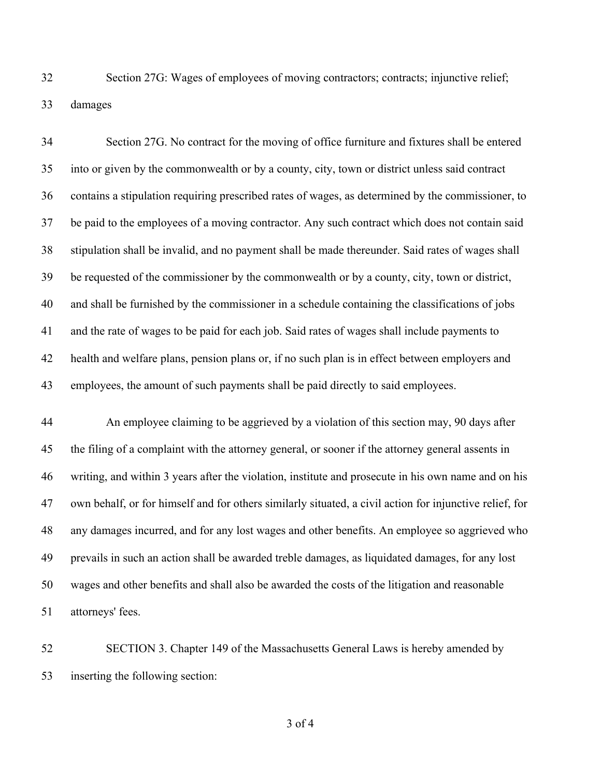Section 27G: Wages of employees of moving contractors; contracts; injunctive relief; damages

 Section 27G. No contract for the moving of office furniture and fixtures shall be entered into or given by the commonwealth or by a county, city, town or district unless said contract contains a stipulation requiring prescribed rates of wages, as determined by the commissioner, to be paid to the employees of a moving contractor. Any such contract which does not contain said stipulation shall be invalid, and no payment shall be made thereunder. Said rates of wages shall be requested of the commissioner by the commonwealth or by a county, city, town or district, and shall be furnished by the commissioner in a schedule containing the classifications of jobs and the rate of wages to be paid for each job. Said rates of wages shall include payments to health and welfare plans, pension plans or, if no such plan is in effect between employers and employees, the amount of such payments shall be paid directly to said employees.

 An employee claiming to be aggrieved by a violation of this section may, 90 days after the filing of a complaint with the attorney general, or sooner if the attorney general assents in writing, and within 3 years after the violation, institute and prosecute in his own name and on his own behalf, or for himself and for others similarly situated, a civil action for injunctive relief, for any damages incurred, and for any lost wages and other benefits. An employee so aggrieved who prevails in such an action shall be awarded treble damages, as liquidated damages, for any lost wages and other benefits and shall also be awarded the costs of the litigation and reasonable attorneys' fees.

 SECTION 3. Chapter 149 of the Massachusetts General Laws is hereby amended by inserting the following section: